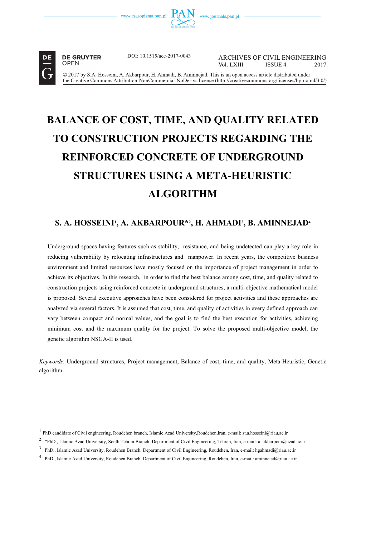

**DE GRUYTER** OPEN

DOI: 10.1515/ace-2017-0043

ARCHIVES OF CIVIL ENGINEERING Vol LXIII ISSUE 4

© 2017 by S.A. Hosseini, A. Akbarpour, H. Ahmadi, B. Aminnejad. This is an open access article distributed under the Creative Commons Attribution-NonCommercial-NoDerivs license (http://creativecommons.org/licenses/by-nc-nd/3.0/)

# **BALANCE OF COST, TIME, AND QUALITY RELATED TO CONSTRUCTION PROJECTS REGARDING THE REINFORCED CONCRETE OF UNDERGROUND STRUCTURES USING A META-HEURISTIC ALGORITHM**

## **S. A. HOSSEINI1 , A. AKBARPOUR\*2 , H. AHMADI3 , B. AMINNEJAD4**

Underground spaces having features such as stability, resistance, and being undetected can play a key role in reducing vulnerability by relocating infrastructures and manpower. In recent years, the competitive business environment and limited resources have mostly focused on the importance of project management in order to achieve its objectives. In this research, in order to find the best balance among cost, time, and quality related to construction projects using reinforced concrete in underground structures, a multi-objective mathematical model is proposed. Several executive approaches have been considered for project activities and these approaches are analyzed via several factors. It is assumed that cost, time, and quality of activities in every defined approach can vary between compact and normal values, and the goal is to find the best execution for activities, achieving minimum cost and the maximum quality for the project. To solve the proposed multi-objective model, the genetic algorithm NSGA-II is used.

*Keywords*: Underground structures, Project management, Balance of cost, time, and quality, Meta-Heuristic, Genetic algorithm.

<sup>2</sup> \*PhD., Islamic Azad University, South Tehran Branch, Department of Civil Engineering, Tehran, Iran, e-mail: a\_akbarpour@azad.ac.ir

<sup>1</sup> PhD candidate of Civil engineering, Roudehen branch, Islamic Azad University,Roudehen,Iran, e-mail: st.a.hosseini@riau.ac.ir

<sup>3</sup> PhD., Islamic Azad University, Roudehen Branch, Department of Civil Engineering, Roudehen, Iran, e-mail: hgahmadi@riau.ac.ir

<sup>4</sup> PhD., Islamic Azad University, Roudehen Branch, Department of Civil Engineering, Roudehen, Iran, e-mail: aminnejad@riau.ac.ir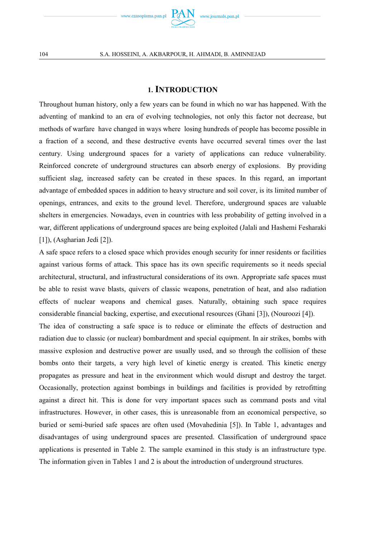

## **1. INTRODUCTION**

Throughout human history, only a few years can be found in which no war has happened. With the adventing of mankind to an era of evolving technologies, not only this factor not decrease, but methods of warfare have changed in ways where losing hundreds of people has become possible in a fraction of a second, and these destructive events have occurred several times over the last century. Using underground spaces for a variety of applications can reduce vulnerability. Reinforced concrete of underground structures can absorb energy of explosions. By providing sufficient slag, increased safety can be created in these spaces. In this regard, an important advantage of embedded spaces in addition to heavy structure and soil cover, is its limited number of openings, entrances, and exits to the ground level. Therefore, underground spaces are valuable shelters in emergencies. Nowadays, even in countries with less probability of getting involved in a war, different applications of underground spaces are being exploited (Jalali and Hashemi Fesharaki [1]), (Asgharian Jedi [2]).

A safe space refers to a closed space which provides enough security for inner residents or facilities against various forms of attack. This space has its own specific requirements so it needs special architectural, structural, and infrastructural considerations of its own. Appropriate safe spaces must be able to resist wave blasts, quivers of classic weapons, penetration of heat, and also radiation effects of nuclear weapons and chemical gases. Naturally, obtaining such space requires considerable financial backing, expertise, and executional resources (Ghani [3]), (Nouroozi [4]).

The idea of constructing a safe space is to reduce or eliminate the effects of destruction and radiation due to classic (or nuclear) bombardment and special equipment. In air strikes, bombs with massive explosion and destructive power are usually used, and so through the collision of these bombs onto their targets, a very high level of kinetic energy is created. This kinetic energy propagates as pressure and heat in the environment which would disrupt and destroy the target. Occasionally, protection against bombings in buildings and facilities is provided by retrofitting against a direct hit. This is done for very important spaces such as command posts and vital infrastructures. However, in other cases, this is unreasonable from an economical perspective, so buried or semi-buried safe spaces are often used (Movahedinia [5]). In Table 1, advantages and disadvantages of using underground spaces are presented. Classification of underground space applications is presented in Table 2. The sample examined in this study is an infrastructure type. The information given in Tables 1 and 2 is about the introduction of underground structures.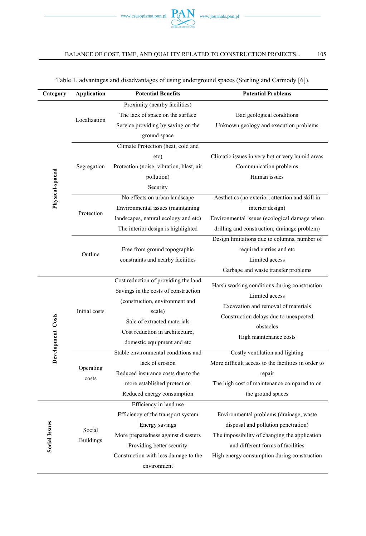

| Category                 | <b>Application</b> | <b>Potential Benefits</b>                | <b>Potential Problems</b>                           |
|--------------------------|--------------------|------------------------------------------|-----------------------------------------------------|
|                          |                    | Proximity (nearby facilities)            |                                                     |
|                          |                    | The lack of space on the surface         | Bad geological conditions                           |
|                          | Localization       | Service providing by saving on the       | Unknown geology and execution problems              |
|                          |                    | ground space                             |                                                     |
|                          |                    | Climate Protection (heat, cold and       |                                                     |
|                          |                    | etc)                                     | Climatic issues in very hot or very humid areas     |
| Physical-spacial         | Segregation        | Protection (noise, vibration, blast, air | Communication problems                              |
|                          |                    | pollution)                               | Human issues                                        |
|                          |                    | Security                                 |                                                     |
|                          |                    | No effects on urban landscape            | Aesthetics (no exterior, attention and skill in     |
|                          |                    | Environmental issues (maintaining        | interior design)                                    |
|                          | Protection         | landscapes, natural ecology and etc)     | Environmental issues (ecological damage when        |
|                          |                    | The interior design is highlighted       | drilling and construction, drainage problem)        |
|                          |                    |                                          | Design limitations due to columns, number of        |
|                          |                    | Free from ground topographic             | required entries and etc                            |
|                          | Outline            | constraints and nearby facilities        | Limited access                                      |
|                          |                    |                                          | Garbage and waste transfer problems                 |
|                          |                    | Cost reduction of providing the land     |                                                     |
|                          | Initial costs      | Savings in the costs of construction     | Harsh working conditions during construction        |
|                          |                    | (construction, environment and           | Limited access                                      |
|                          |                    | scale)                                   | Excavation and removal of materials                 |
|                          |                    | Sale of extracted materials              | Construction delays due to unexpected               |
|                          |                    | Cost reduction in architecture,          | obstacles                                           |
|                          |                    | domestic equipment and etc               | High maintenance costs                              |
| <b>Development Costs</b> |                    | Stable environmental conditions and      | Costly ventilation and lighting                     |
|                          |                    | lack of erosion                          | More difficult access to the facilities in order to |
|                          | Operating          | Reduced insurance costs due to the       | repair                                              |
|                          | costs              | more established protection              | The high cost of maintenance compared to on         |
|                          |                    | Reduced energy consumption               | the ground spaces                                   |
|                          |                    | Efficiency in land use                   |                                                     |
|                          |                    | Efficiency of the transport system       | Environmental problems (drainage, waste             |
|                          |                    | Energy savings                           | disposal and pollution penetration)                 |
|                          | Social             | More preparedness against disasters      | The impossibility of changing the application       |
|                          | <b>Buildings</b>   | Providing better security                | and different forms of facilities                   |
| <b>Social Issues</b>     |                    | Construction with less damage to the     | High energy consumption during construction         |
|                          |                    | environment                              |                                                     |
|                          |                    |                                          |                                                     |

#### Table 1. advantages and disadvantages of using underground spaces (Sterling and Carmody [6]).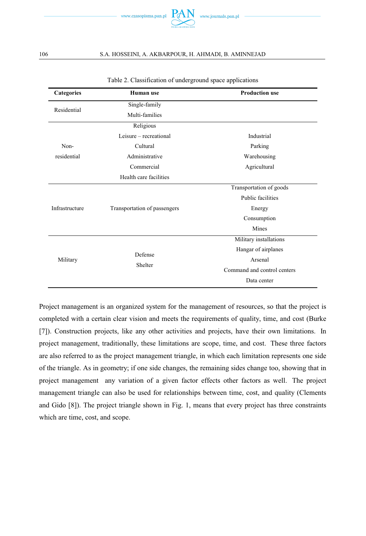

| $\label{eq:ategories} \textbf{Categorical}$ | Human use                    | <b>Production use</b>       |
|---------------------------------------------|------------------------------|-----------------------------|
| Residential                                 | Single-family                |                             |
|                                             | Multi-families               |                             |
|                                             | Religious                    |                             |
|                                             | Leisure – recreational       | Industrial                  |
| Non-                                        | Cultural                     | Parking                     |
| residential                                 | Administrative               | Warehousing                 |
|                                             | Commercial                   | Agricultural                |
|                                             | Health care facilities       |                             |
|                                             |                              | Transportation of goods     |
|                                             |                              | Public facilities           |
| Infrastructure                              | Transportation of passengers | Energy                      |
|                                             |                              | Consumption                 |
|                                             |                              | Mines                       |
|                                             |                              | Military installations      |
|                                             | Defense                      | Hangar of airplanes         |
| Military                                    | Shelter                      | Arsenal                     |
|                                             |                              | Command and control centers |
|                                             |                              | Data center                 |
|                                             |                              |                             |

## Table 2. Classification of underground space applications

Project management is an organized system for the management of resources, so that the project is completed with a certain clear vision and meets the requirements of quality, time, and cost (Burke [7]). Construction projects, like any other activities and projects, have their own limitations. In project management, traditionally, these limitations are scope, time, and cost. These three factors are also referred to as the project management triangle, in which each limitation represents one side of the triangle. As in geometry; if one side changes, the remaining sides change too, showing that in project management any variation of a given factor effects other factors as well. The project management triangle can also be used for relationships between time, cost, and quality (Clements and Gido [8]). The project triangle shown in Fig. 1, means that every project has three constraints which are time, cost, and scope.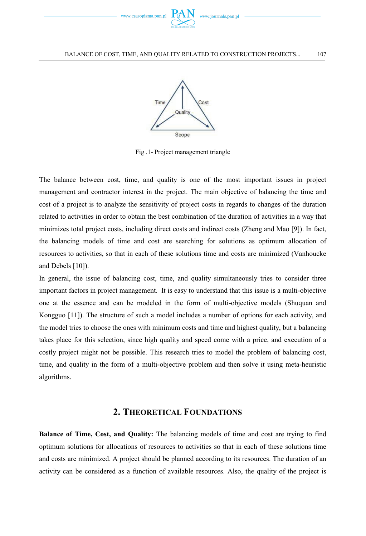



Fig .1- Project management triangle

The balance between cost, time, and quality is one of the most important issues in project management and contractor interest in the project. The main objective of balancing the time and cost of a project is to analyze the sensitivity of project costs in regards to changes of the duration related to activities in order to obtain the best combination of the duration of activities in a way that minimizes total project costs, including direct costs and indirect costs (Zheng and Mao [9]). In fact, the balancing models of time and cost are searching for solutions as optimum allocation of resources to activities, so that in each of these solutions time and costs are minimized (Vanhoucke and Debels [10]).

In general, the issue of balancing cost, time, and quality simultaneously tries to consider three important factors in project management. It is easy to understand that this issue is a multi-objective one at the essence and can be modeled in the form of multi-objective models (Shuquan and Kongguo [11]). The structure of such a model includes a number of options for each activity, and the model tries to choose the ones with minimum costs and time and highest quality, but a balancing takes place for this selection, since high quality and speed come with a price, and execution of a costly project might not be possible. This research tries to model the problem of balancing cost, time, and quality in the form of a multi-objective problem and then solve it using meta-heuristic algorithms.

## **2. THEORETICAL FOUNDATIONS**

**Balance of Time, Cost, and Quality:** The balancing models of time and cost are trying to find optimum solutions for allocations of resources to activities so that in each of these solutions time and costs are minimized. A project should be planned according to its resources. The duration of an activity can be considered as a function of available resources. Also, the quality of the project is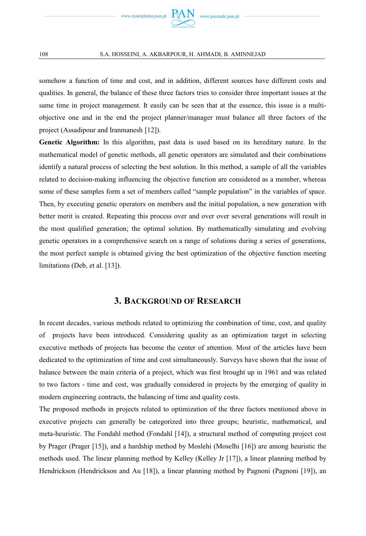

somehow a function of time and cost, and in addition, different sources have different costs and qualities. In general, the balance of these three factors tries to consider three important issues at the same time in project management. It easily can be seen that at the essence, this issue is a multiobjective one and in the end the project planner/manager must balance all three factors of the project (Assadipour and Iranmanesh [12]).

**Genetic Algorithm:** In this algorithm, past data is used based on its hereditary nature. In the mathematical model of genetic methods, all genetic operators are simulated and their combinations identify a natural process of selecting the best solution. In this method, a sample of all the variables related to decision-making influencing the objective function are considered as a member, whereas some of these samples form a set of members called "sample population" in the variables of space. Then, by executing genetic operators on members and the initial population, a new generation with better merit is created. Repeating this process over and over over several generations will result in the most qualified generation; the optimal solution. By mathematically simulating and evolving genetic operators in a comprehensive search on a range of solutions during a series of generations, the most perfect sample is obtained giving the best optimization of the objective function meeting limitations (Deb, et al. [13]).

## **3. BACKGROUND OF RESEARCH**

In recent decades, various methods related to optimizing the combination of time, cost, and quality of projects have been introduced. Considering quality as an optimization target in selecting executive methods of projects has become the center of attention. Most of the articles have been dedicated to the optimization of time and cost simultaneously. Surveys have shown that the issue of balance between the main criteria of a project, which was first brought up in 1961 and was related to two factors - time and cost, was gradually considered in projects by the emerging of quality in modern engineering contracts, the balancing of time and quality costs.

The proposed methods in projects related to optimization of the three factors mentioned above in executive projects can generally be categorized into three groups; heuristic, mathematical, and meta-heuristic. The Fondahl method (Fondahl [14]), a structural method of computing project cost by Prager (Prager [15]), and a hardship method by Moslehi (Moselhi [16]) are among heuristic the methods used. The linear planning method by Kelley (Kelley Jr [17]), a linear planning method by Hendrickson (Hendrickson and Au [18]), a linear planning method by Pagnoni (Pagnoni [19]), an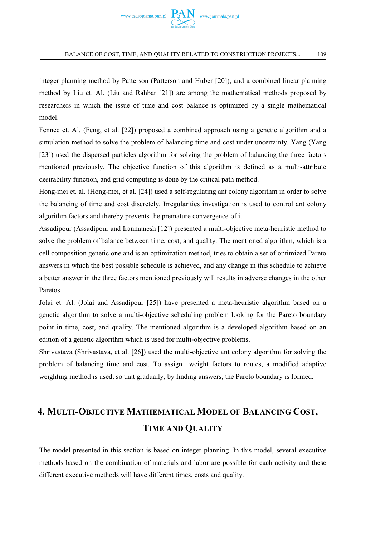

integer planning method by Patterson (Patterson and Huber [20]), and a combined linear planning method by Liu et. Al. (Liu and Rahbar [21]) are among the mathematical methods proposed by researchers in which the issue of time and cost balance is optimized by a single mathematical model.

Fennec et. Al. (Feng, et al. [22]) proposed a combined approach using a genetic algorithm and a simulation method to solve the problem of balancing time and cost under uncertainty. Yang (Yang [23]) used the dispersed particles algorithm for solving the problem of balancing the three factors mentioned previously. The objective function of this algorithm is defined as a multi-attribute desirability function, and grid computing is done by the critical path method.

Hong-mei et. al. (Hong-mei, et al. [24]) used a self-regulating ant colony algorithm in order to solve the balancing of time and cost discretely. Irregularities investigation is used to control ant colony algorithm factors and thereby prevents the premature convergence of it.

Assadipour (Assadipour and Iranmanesh [12]) presented a multi-objective meta-heuristic method to solve the problem of balance between time, cost, and quality. The mentioned algorithm, which is a cell composition genetic one and is an optimization method, tries to obtain a set of optimized Pareto answers in which the best possible schedule is achieved, and any change in this schedule to achieve a better answer in the three factors mentioned previously will results in adverse changes in the other Paretos.

Jolai et. Al. (Jolai and Assadipour [25]) have presented a meta-heuristic algorithm based on a genetic algorithm to solve a multi-objective scheduling problem looking for the Pareto boundary point in time, cost, and quality. The mentioned algorithm is a developed algorithm based on an edition of a genetic algorithm which is used for multi-objective problems.

Shrivastava (Shrivastava, et al. [26]) used the multi-objective ant colony algorithm for solving the problem of balancing time and cost. To assign weight factors to routes, a modified adaptive weighting method is used, so that gradually, by finding answers, the Pareto boundary is formed.

## **4. MULTI-OBJECTIVE MATHEMATICAL MODEL OF BALANCING COST, TIME AND QUALITY**

The model presented in this section is based on integer planning. In this model, several executive methods based on the combination of materials and labor are possible for each activity and these different executive methods will have different times, costs and quality.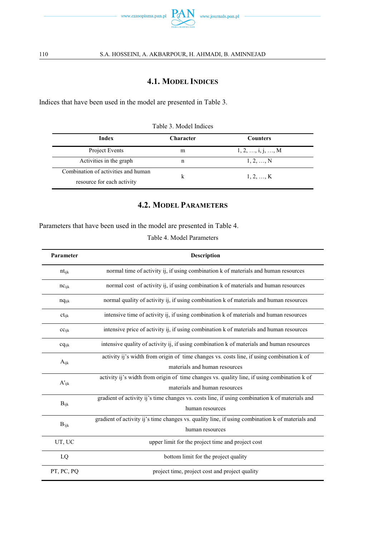

## **4.1. MODEL INDICES**

Indices that have been used in the model are presented in Table 3.

| Index                               | Character | <b>Counters</b>                 |  |
|-------------------------------------|-----------|---------------------------------|--|
| Project Events                      | m         | $1, 2, \ldots, i, j, \ldots, M$ |  |
| Activities in the graph             | n         | 1, 2, , N                       |  |
| Combination of activities and human |           | 1, 2, , K                       |  |
| resource for each activity          |           |                                 |  |

## Table 3. Model Indices

## **4.2. MODEL PARAMETERS**

Parameters that have been used in the model are presented in Table 4.

Table 4. Model Parameters

| Parameter  | <b>Description</b>                                                                               |
|------------|--------------------------------------------------------------------------------------------------|
| $nt_{ijk}$ | normal time of activity ij, if using combination k of materials and human resources              |
| $nc_{ijk}$ | normal cost of activity ij, if using combination k of materials and human resources              |
| $nq_{ijk}$ | normal quality of activity ij, if using combination k of materials and human resources           |
| $ct_{ijk}$ | intensive time of activity ij, if using combination k of materials and human resources           |
| $cc_{ijk}$ | intensive price of activity ij, if using combination k of materials and human resources          |
| $cq_{ijk}$ | intensive quality of activity ij, if using combination k of materials and human resources        |
|            | activity ij's width from origin of time changes vs. costs line, if using combination k of        |
| $A_{ijk}$  | materials and human resources                                                                    |
|            | activity ij's width from origin of time changes vs. quality line, if using combination k of      |
| $A'_{ijk}$ | materials and human resources                                                                    |
|            | gradient of activity ij's time changes vs. costs line, if using combination k of materials and   |
| $B_{ijk}$  | human resources                                                                                  |
|            | gradient of activity ij's time changes vs. quality line, if using combination k of materials and |
| $B_{ijk}$  | human resources                                                                                  |
| UT, UC     | upper limit for the project time and project cost                                                |
| LQ         | bottom limit for the project quality                                                             |
| PT, PC, PQ | project time, project cost and project quality                                                   |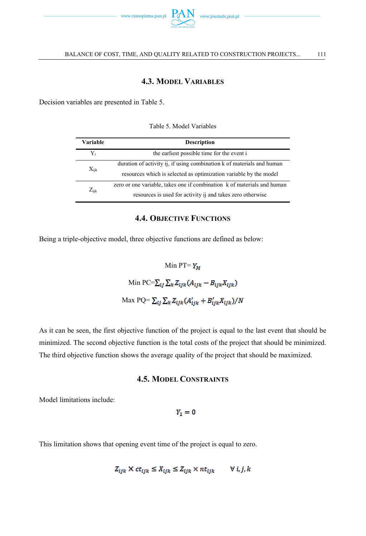

## **4.3. MODEL VARIABLES**

Decision variables are presented in Table 5.

| Variable  | <b>Description</b>                                                                                                                          |
|-----------|---------------------------------------------------------------------------------------------------------------------------------------------|
| Y,        | the earliest possible time for the event i                                                                                                  |
| $X_{ijk}$ | duration of activity ij, if using combination k of materials and human<br>resources which is selected as optimization variable by the model |
| $Z_{ijk}$ | zero or one variable, takes one if combination k of materials and human<br>resources is used for activity ij and takes zero otherwise       |

#### Table 5. Model Variables

## **4.4. OBJECTIVE FUNCTIONS**

Being a triple-objective model, three objective functions are defined as below:

Min PT=  $Y_M$ Min PC= $\sum_{ij} \sum_k Z_{ijk} (A_{ijk} - B_{ijk} X_{ijk})$ Max PQ= $\sum_{t} \sum_{k} Z_{tjk} (A'_{tjk} + B'_{tjk} X_{tjk})/N$ 

As it can be seen, the first objective function of the project is equal to the last event that should be minimized. The second objective function is the total costs of the project that should be minimized. The third objective function shows the average quality of the project that should be maximized.

## **4.5. MODEL CONSTRAINTS**

Model limitations include:

 $Y_1=0$ 

This limitation shows that opening event time of the project is equal to zero.

$$
Z_{ijk} \times ct_{ijk} \leq X_{ijk} \leq Z_{ijk} \times nt_{ijk} \qquad \forall i, j, k
$$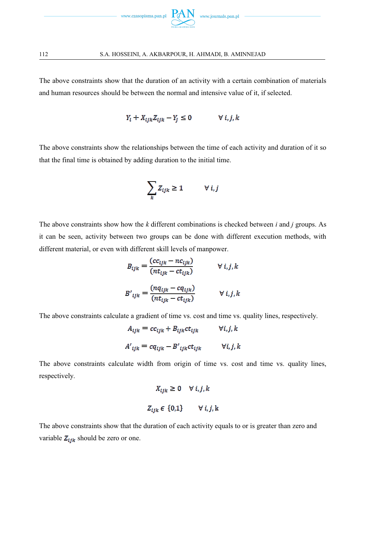

The above constraints show that the duration of an activity with a certain combination of materials and human resources should be between the normal and intensive value of it, if selected.

$$
Y_t + X_{tjk} Z_{tjk} - Y_j \le 0 \qquad \forall i, j, k
$$

The above constraints show the relationships between the time of each activity and duration of it so that the final time is obtained by adding duration to the initial time.

$$
\sum_k Z_{ijk} \geq 1 \qquad \forall i,j
$$

The above constraints show how the *k* different combinations is checked between *i* and *j* groups. As it can be seen, activity between two groups can be done with different execution methods, with different material, or even with different skill levels of manpower.

$$
B_{ijk} = \frac{(cc_{ijk} - nc_{ijk})}{(nt_{ijk} - ct_{ijk})} \qquad \forall i, j, k
$$
  

$$
B'_{ijk} = \frac{(nq_{ijk} - cq_{ijk})}{(nt_{ijk} - ct_{ijk})} \qquad \forall i, j, k
$$

The above constraints calculate a gradient of time vs. cost and time vs. quality lines, respectively.

$$
A_{ijk} = cc_{ijk} + B_{ijk}ct_{ijk} \t\t \forall i, j, k
$$
  

$$
A'_{ijk} = cq_{ijk} - B'_{ijk}ct_{ijk} \t\t \forall i, j, k
$$

and and

The above constraints calculate width from origin of time vs. cost and time vs. quality lines, respectively.

$$
X_{ijk} \ge 0 \quad \forall i, j, k
$$

$$
Z_{ijk} \in \{0, 1\} \qquad \forall i, j, k
$$

The above constraints show that the duration of each activity equals to or is greater than zero and variable  $Z_{ijk}$  should be zero or one.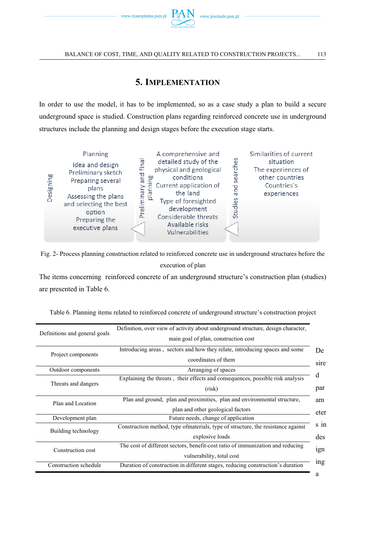

## **5. IMPLEMENTATION**

In order to use the model, it has to be implemented, so as a case study a plan to build a secure underground space is studied. Construction plans regarding reinforced concrete use in underground structures include the planning and design stages before the execution stage starts.



Fig. 2- Process planning construction related to reinforced concrete use in underground structures before the execution of plan

The items concerning reinforced concrete of an underground structure's construction plan (studies) are presented in Table 6.

|                               | Definition, over view of activity about underground structure, design character,  |           |  |
|-------------------------------|-----------------------------------------------------------------------------------|-----------|--|
| Definitions and general goals | main goal of plan, construction cost                                              |           |  |
| Project components            | Introducing areas, sectors and how they relate, introducing spaces and some       | De        |  |
|                               | coordinates of them                                                               | sire      |  |
| Outdoor components            | Arranging of spaces                                                               |           |  |
| Threats and dangers           | Explaining the threats, their effects and consequences, possible risk analysis    | d         |  |
|                               | (risk)                                                                            | par       |  |
| Plan and Location             | Plan and ground, plan and proximities, plan and environmental structure,          | am        |  |
|                               | plan and other geological factors                                                 | eter      |  |
| Development plan              | Future needs, change of application                                               |           |  |
| Building technology           | Construction method, type of materials, type of structure, the resistance against | $s$ 1 $n$ |  |
|                               | explosive loads                                                                   | des       |  |
| Construction cost             | The cost of different sectors, benefit-cost ratio of immunization and reducing    | 1gn       |  |
|                               | vulnerability, total cost                                                         |           |  |
| Construction schedule         | Duration of construction in different stages, reducing construction's duration    | ing       |  |
|                               |                                                                                   | a         |  |

|  | Table 6. Planning items related to reinforced concrete of underground structure's construction project |  |  |
|--|--------------------------------------------------------------------------------------------------------|--|--|
|  |                                                                                                        |  |  |
|  |                                                                                                        |  |  |
|  |                                                                                                        |  |  |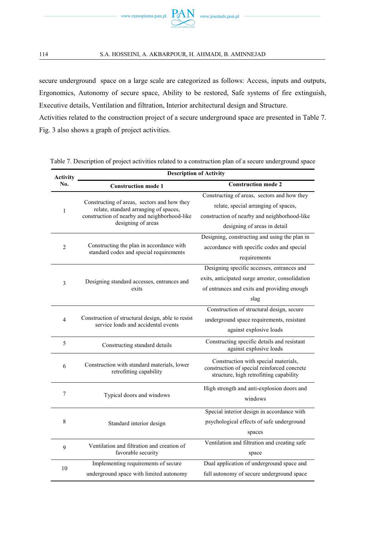

secure underground space on a large scale are categorized as follows: Access, inputs and outputs, Ergonomics, Autonomy of secure space, Ability to be restored, Safe systems of fire extinguish, Executive details, Ventilation and filtration, Interior architectural design and Structure.

Activities related to the construction project of a secure underground space are presented in Table 7. Fig. 3 also shows a graph of project activities.

| Activity       | <b>Description of Activity</b>                                                           |                                                                                                                                |  |  |  |
|----------------|------------------------------------------------------------------------------------------|--------------------------------------------------------------------------------------------------------------------------------|--|--|--|
| No.            | <b>Construction mode 1</b>                                                               | <b>Construction mode 2</b>                                                                                                     |  |  |  |
|                |                                                                                          | Constructing of areas, sectors and how they                                                                                    |  |  |  |
|                | Constructing of areas, sectors and how they<br>relate, standard arranging of spaces,     | relate, special arranging of spaces,                                                                                           |  |  |  |
| 1              | construction of nearby and neighborhood-like                                             | construction of nearby and neighborhood-like                                                                                   |  |  |  |
|                | designing of areas                                                                       | designing of areas in detail                                                                                                   |  |  |  |
|                |                                                                                          | Designing, constructing and using the plan in                                                                                  |  |  |  |
| $\overline{2}$ | Constructing the plan in accordance with                                                 | accordance with specific codes and special                                                                                     |  |  |  |
|                | standard codes and special requirements                                                  | requirements                                                                                                                   |  |  |  |
|                |                                                                                          | Designing specific accesses, entrances and                                                                                     |  |  |  |
| 3              | Designing standard accesses, entrances and                                               | exits, anticipated surge arrester, consolidation                                                                               |  |  |  |
|                | exits                                                                                    | of entrances and exits and providing enough                                                                                    |  |  |  |
|                |                                                                                          | slag                                                                                                                           |  |  |  |
|                |                                                                                          | Construction of structural design, secure                                                                                      |  |  |  |
| $\overline{4}$ | Construction of structural design, able to resist<br>service loads and accidental events | underground space requirements, resistant                                                                                      |  |  |  |
|                |                                                                                          | against explosive loads                                                                                                        |  |  |  |
| 5              | Constructing standard details                                                            | Constructing specific details and resistant<br>against explosive loads                                                         |  |  |  |
| 6              | Construction with standard materials, lower<br>retrofitting capability                   | Construction with special materials,<br>construction of special reinforced concrete<br>structure, high retrofitting capability |  |  |  |
|                |                                                                                          | High strength and anti-explosion doors and                                                                                     |  |  |  |
| 7              | Typical doors and windows                                                                | windows                                                                                                                        |  |  |  |
|                |                                                                                          | Special interior design in accordance with                                                                                     |  |  |  |
| 8              | Standard interior design                                                                 | psychological effects of safe underground                                                                                      |  |  |  |
|                |                                                                                          | spaces                                                                                                                         |  |  |  |
| 9              | Ventilation and filtration and creation of                                               | Ventilation and filtration and creating safe                                                                                   |  |  |  |
|                | favorable security                                                                       | space                                                                                                                          |  |  |  |
| 10             | Implementing requirements of secure                                                      | Dual application of underground space and                                                                                      |  |  |  |
|                | underground space with limited autonomy                                                  | full autonomy of secure underground space                                                                                      |  |  |  |
|                |                                                                                          |                                                                                                                                |  |  |  |

Table 7. Description of project activities related to a construction plan of a secure underground space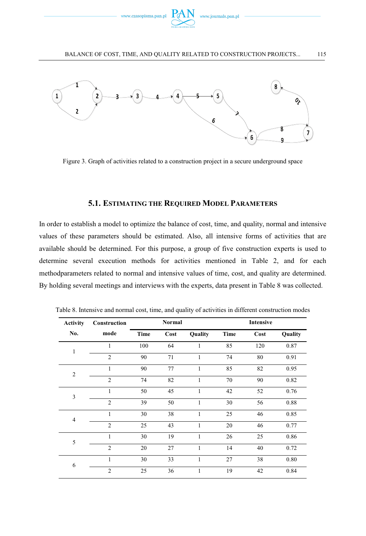



Figure 3. Graph of activities related to a construction project in a secure underground space

## **5.1. ESTIMATING THE REQUIRED MODEL PARAMETERS**

In order to establish a model to optimize the balance of cost, time, and quality, normal and intensive values of these parameters should be estimated. Also, all intensive forms of activities that are available should be determined. For this purpose, a group of five construction experts is used to determine several execution methods for activities mentioned in Table 2, and for each methodparameters related to normal and intensive values of time, cost, and quality are determined. By holding several meetings and interviews with the experts, data present in Table 8 was collected.

| <b>Activity</b> | Construction   | Normal |      |              |      |      | Intensive |  |
|-----------------|----------------|--------|------|--------------|------|------|-----------|--|
| No.             | mode           | Time   | Cost | Quality      | Time | Cost | Quality   |  |
| 1               | 1              | 100    | 64   | 1            | 85   | 120  | 0.87      |  |
|                 | $\overline{2}$ | 90     | 71   | $\mathbf{1}$ | 74   | 80   | 0.91      |  |
| $\overline{2}$  | 1              | 90     | 77   | $\mathbf{1}$ | 85   | 82   | 0.95      |  |
|                 | $\overline{2}$ | 74     | 82   | 1            | 70   | 90   | 0.82      |  |
| 3               | 1              | 50     | 45   | $\mathbf{1}$ | 42   | 52   | 0.76      |  |
|                 | $\overline{2}$ | 39     | 50   | $\mathbf{1}$ | 30   | 56   | 0.88      |  |
| $\overline{4}$  | 1              | 30     | 38   | 1            | 25   | 46   | 0.85      |  |
|                 | $\overline{2}$ | 25     | 43   | 1            | 20   | 46   | 0.77      |  |
| 5               | 1              | 30     | 19   | $\mathbf{1}$ | 26   | 25   | 0.86      |  |
|                 | $\overline{2}$ | 20     | 27   | 1            | 14   | 40   | 0.72      |  |
|                 | 1              | 30     | 33   | 1            | 27   | 38   | 0.80      |  |
| 6               | $\overline{2}$ | 25     | 36   | $\mathbf{1}$ | 19   | 42   | 0.84      |  |

Table 8. Intensive and normal cost, time, and quality of activities in different construction modes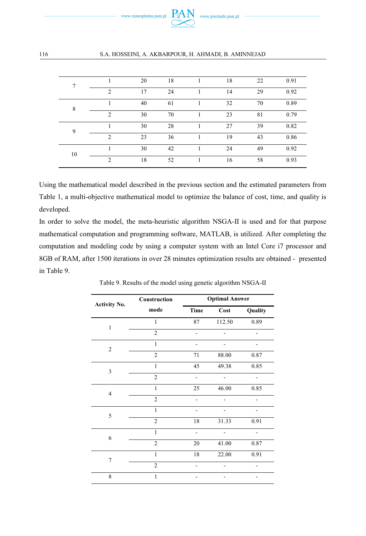

| 7  |                | 20 | 18 | 18 | 22 | 0.91 |
|----|----------------|----|----|----|----|------|
|    | $\overline{2}$ | 17 | 24 | 14 | 29 | 0.92 |
| 8  |                | 40 | 61 | 32 | 70 | 0.89 |
|    | $\overline{2}$ | 30 | 70 | 23 | 81 | 0.79 |
| 9  |                | 30 | 28 | 27 | 39 | 0.82 |
|    | 2              | 23 | 36 | 19 | 43 | 0.86 |
| 10 |                | 30 | 42 | 24 | 49 | 0.92 |
|    | $\overline{c}$ | 18 | 52 | 16 | 58 | 0.93 |

Using the mathematical model described in the previous section and the estimated parameters from Table 1, a multi-objective mathematical model to optimize the balance of cost, time, and quality is developed.

In order to solve the model, the meta-heuristic algorithm NSGA-II is used and for that purpose mathematical computation and programming software, MATLAB, is utilized. After completing the computation and modeling code by using a computer system with an Intel Core i7 processor and 8GB of RAM, after 1500 iterations in over 28 minutes optimization results are obtained - presented in Table 9.

| <b>Activity No.</b> | Construction   |                | <b>Optimal Answer</b> |         |  |
|---------------------|----------------|----------------|-----------------------|---------|--|
|                     | mode           | Time           | Cost                  | Quality |  |
| 1                   | 1              | 87             | 112.50                | 0.89    |  |
|                     | $\overline{2}$ |                |                       |         |  |
| $\overline{2}$      | 1              |                |                       |         |  |
|                     | $\overline{2}$ | 71             | 88.00                 | 0.87    |  |
| 3                   | 1              | 45             | 49.38                 | 0.85    |  |
|                     | $\overline{2}$ |                |                       |         |  |
| $\overline{4}$      | 1              | 25             | 46.00                 | 0.85    |  |
|                     | $\overline{2}$ |                |                       |         |  |
| 5                   | $\mathbf{1}$   |                |                       |         |  |
|                     | $\overline{c}$ | 18<br>20<br>18 | 31.33                 | 0.91    |  |
| 6                   | 1              |                |                       |         |  |
|                     | $\overline{2}$ |                | 41.00                 | 0.87    |  |
| 7                   | 1              |                | 22.00                 | 0.91    |  |
|                     | $\overline{2}$ |                |                       |         |  |
| 8                   | 1              |                |                       |         |  |

Table 9. Results of the model using genetic algorithm NSGA-II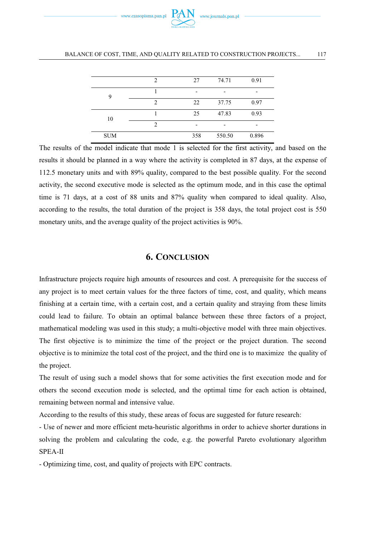

|            | $\mathfrak{D}$ | 27  | 74.71  | 0.91  |
|------------|----------------|-----|--------|-------|
| 9          |                |     |        |       |
|            | $\overline{c}$ | 22  | 37.75  | 0.97  |
| 10         |                | 25  | 47.83  | 0.93  |
|            | $\mathcal{D}$  |     |        |       |
| <b>SUM</b> |                | 358 | 550.50 | 0.896 |

The results of the model indicate that mode 1 is selected for the first activity, and based on the results it should be planned in a way where the activity is completed in 87 days, at the expense of 112.5 monetary units and with 89% quality, compared to the best possible quality. For the second activity, the second executive mode is selected as the optimum mode, and in this case the optimal time is 71 days, at a cost of 88 units and 87% quality when compared to ideal quality. Also, according to the results, the total duration of the project is 358 days, the total project cost is 550 monetary units, and the average quality of the project activities is 90%.

## **6. CONCLUSION**

Infrastructure projects require high amounts of resources and cost. A prerequisite for the success of any project is to meet certain values for the three factors of time, cost, and quality, which means finishing at a certain time, with a certain cost, and a certain quality and straying from these limits could lead to failure. To obtain an optimal balance between these three factors of a project, mathematical modeling was used in this study; a multi-objective model with three main objectives. The first objective is to minimize the time of the project or the project duration. The second objective is to minimize the total cost of the project, and the third one is to maximize the quality of the project.

The result of using such a model shows that for some activities the first execution mode and for others the second execution mode is selected, and the optimal time for each action is obtained, remaining between normal and intensive value.

According to the results of this study, these areas of focus are suggested for future research:

- Use of newer and more efficient meta-heuristic algorithms in order to achieve shorter durations in solving the problem and calculating the code, e.g. the powerful Pareto evolutionary algorithm SPEA-II

- Optimizing time, cost, and quality of projects with EPC contracts.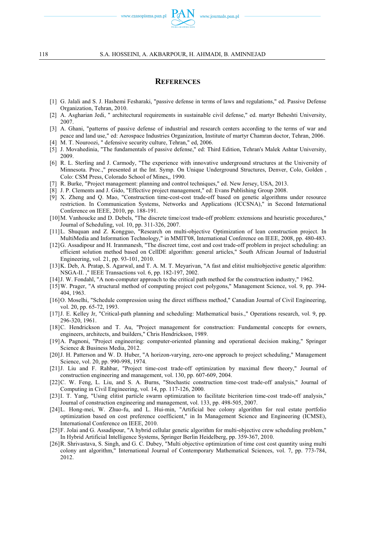## **REFERENCES**

- [1] G. Jalali and S. J. Hashemi Fesharaki, "passive defense in terms of laws and regulations," ed. Passive Defense Organization, Tehran, 2010.
- [2] A. Asgharian Jedi, " architectural requirements in sustainable civil defense," ed. martyr Beheshti University, 2007.
- [3] A. Ghani, "patterns of passive defense of industrial and research centers according to the terms of war and peace and land use," ed: Aerospace Industries Organization, Institute of martyr Chamran doctor, Tehran, 2006.
- [4] M. T. Nouroozi, " defensive security culture, Tehran," ed, 2006.
- [5] J. Movahedinia, "The fundamentals of passive defense," ed: Third Edition, Tehran's Malek Ashtar University, 2009.
- [6] R. L. Sterling and J. Carmody, "The experience with innovative underground structures at the University of Minnesota. Proc.," presented at the Int. Symp. On Unique Underground Structures, Denver, Colo, Golden , Colo: CSM Press, Colorado School of Mines,, 1990.
- [7] R. Burke, "Project management: planning and control techniques," ed. New Jersey, USA, 2013.
- [8] J. P. Clements and J. Gido, "Effective project management," ed: Evans Publishing Group 2008.
- [9] X. Zheng and Q. Mao, "Construction time-cost-cost trade-off based on genetic algorithms under resource restriction. In Communication Systems, Networks and Applications (ICCSNA)," in Second International Conference on IEEE, 2010, pp. 188-191.
- [10] M. Vanhoucke and D. Debels, "The discrete time/cost trade-off problem: extensions and heuristic procedures," Journal of Scheduling, vol. 10, pp. 311-326, 2007.
- [11] L. Shuquan and Z. Kongguo, "Research on multi-objective Optimization of lean construction project. In MultiMedia and Information Technology," in MMIT'08, International Conference on IEEE, 2008, pp. 480-483.
- [12] G. Assadipour and H. Iranmanesh, "The discreet time, cost and cost trade-off problem in project scheduling: an efficient solution method based on CellDE algorithm: general articles," South African Journal of Industrial Engineering, vol. 21, pp. 93-101, 2010.
- [13] K. Deb, A. Pratap, S. Agarwal, and T. A. M. T. Meyarivan, "A fast and elitist multiobjective genetic algorithm: NSGA-II. ," IEEE Transactions vol. 6, pp. 182-197, 2002.
- [14] J. W. Fondahl, "A non-computer approach to the critical path method for the construction industry," 1962.
- [15] W. Prager, "A structural method of computing project cost polygons," Management Science, vol. 9, pp. 394- 404, 1963.
- [16] O. Moselhi, "Schedule compression using the direct stiffness method," Canadian Journal of Civil Engineering, vol. 20, pp. 65-72, 1993.
- [17] J. E. Kelley Jr, "Critical-path planning and scheduling: Mathematical basis.," Operations research, vol. 9, pp. 296-320, 1961.
- [18] C. Hendrickson and T. Au, "Project management for construction: Fundamental concepts for owners, engineers, architects, and builders," Chris Hendrickson, 1989.
- [19] A. Pagnoni, "Project engineering: computer-oriented planning and operational decision making," Springer Science & Business Media, 2012.
- [20] J. H. Patterson and W. D. Huber, "A horizon-varying, zero-one approach to project scheduling," Management Science, vol. 20, pp. 990-998, 1974.
- [21] J. Liu and F. Rahbar, "Project time-cost trade-off optimization by maximal flow theory," Journal of construction engineering and management, vol. 130, pp. 607-609, 2004.
- [22] C. W. Feng, L. Liu, and S. A. Burns, "Stochastic construction time-cost trade-off analysis," Journal of Computing in Civil Engineering, vol. 14, pp. 117-126, 2000.
- [23] I. T. Yang, "Using elitist particle swarm optimization to facilitate bicriterion time-cost trade-off analysis," Journal of construction engineering and management, vol. 133, pp. 498-505, 2007.
- [24] L. Hong-mei, W. Zhuo-fu, and L. Hui-min, "Artificial bee colony algorithm for real estate portfolio optimization based on cost preference coefficient," in In Management Science and Engineering (ICMSE), International Conference on IEEE, 2010.
- [25] F. Jolai and G. Assadipour, "A hybrid cellular genetic algorithm for multi-objective crew scheduling problem," In Hybrid Artificial Intelligence Systems, Springer Berlin Heidelberg, pp. 359-367, 2010.
- [26] R. Shrivastava, S. Singh, and G. C. Dubey, "Multi objective optimization of time cost cost quantity using multi colony ant algorithm," International Journal of Contemporary Mathematical Sciences, vol. 7, pp. 773-784, 2012.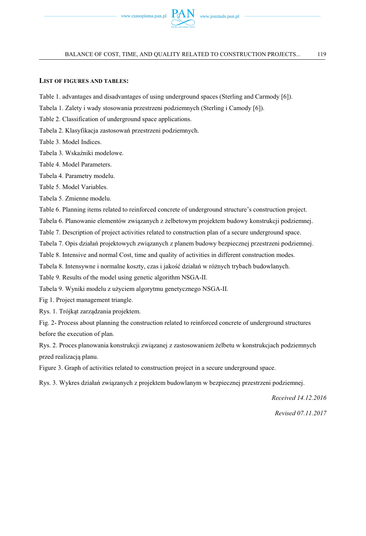

## **LIST OF FIGURES AND TABLES:**

Table 1. advantages and disadvantages of using underground spaces (Sterling and Carmody [6]).

Tabela 1. Zalety i wady stosowania przestrzeni podziemnych (Sterling i Camody [6]).

Table 2. Classification of underground space applications.

Tabela 2. Klasyfikacja zastosowań przestrzeni podziemnych.

Table 3. Model Indices.

Tabela 3. Wskaźniki modelowe.

Table 4. Model Parameters.

Tabela 4. Parametry modelu.

Table 5. Model Variables.

Tabela 5. Zmienne modelu.

Table 6. Planning items related to reinforced concrete of underground structure's construction project.

Tabela 6. Planowanie elementów zwizanych z elbetowym projektem budowy konstrukcji podziemnej.

Table 7. Description of project activities related to construction plan of a secure underground space.

Tabela 7. Opis działań projektowych związanych z planem budowy bezpiecznej przestrzeni podziemnej.

Table 8. Intensive and normal Cost, time and quality of activities in different construction modes.

Tabela 8. Intensywne i normalne koszty, czas i jakość działań w różnych trybach budowlanych.

Table 9. Results of the model using genetic algorithm NSGA-II.

Tabela 9. Wyniki modelu z użyciem algorytmu genetycznego NSGA-II.

Fig 1. Project management triangle.

Rys. 1. Trójkąt zarządzania projektem.

Fig. 2- Process about planning the construction related to reinforced concrete of underground structures before the execution of plan.

Rys. 2. Proces planowania konstrukcji zwizanej z zastosowaniem elbetu w konstrukcjach podziemnych przed realizacją planu.

Figure 3. Graph of activities related to construction project in a secure underground space.

Rys. 3. Wykres działań związanych z projektem budowlanym w bezpiecznej przestrzeni podziemnej.

*Received 14.12.2016* 

*Revised 07.11.2017*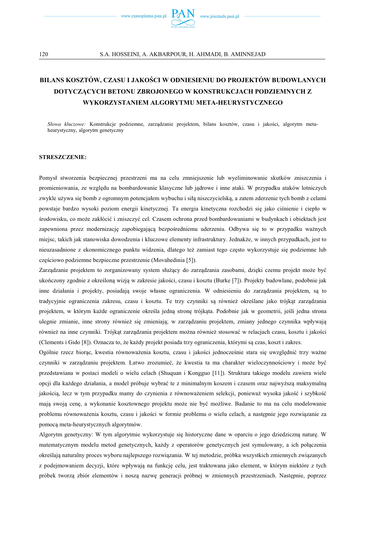

## **BILANS KOSZTÓW, CZASU I JAKO-CI W ODNIESIENIU DO PROJEKTÓW BUDOWLANYCH DOTYCZCYCH BETONU ZBROJONEGO W KONSTRUKCJACH PODZIEMNYCH Z WYKORZYSTANIEM ALGORYTMU META-HEURYSTYCZNEGO**

*Słowa kluczowe:* Konstrukcje podziemne, zarzdzanie projektem, bilans kosztów, czasu i jakoci, algorytm metaheurystyczny, algorytm genetyczny

#### **STRESZCZENIE:**

Pomysł stworzenia bezpiecznej przestrzeni ma na celu zmniejszenie lub wyeliminowanie skutków zniszczenia i promieniowania, ze wzgldu na bombardowanie klasyczne lub jdrowe i inne ataki. W przypadku ataków lotniczych zwykle używa się bomb z ogromnym potencjałem wybuchu i siłą niszczycielską, a zatem zderzenie tych bomb z celami powstaje bardzo wysoki poziom energii kinetycznej. Ta energia kinetyczna rozchodzi się jako ciśnienie i ciepło w środowisku, co może zakłócić i zniszczyć cel. Czasem ochrona przed bombardowaniami w budynkach i obiektach jest zapewniona przez modernizację zapobiegającą bezpośredniemu uderzeniu. Odbywa się to w przypadku ważnych miejsc, takich jak stanowiska dowodzenia i kluczowe elementy infrastruktury. Jednakże, w innych przypadkach, jest to nieuzasadnione z ekonomicznego punktu widzenia, dlatego też zamiast tego często wykorzystuje się podziemne lub częściowo podziemne bezpieczne przestrzenie (Movahedinia [5]).

Zarządzanie projektem to zorganizowany system służący do zarządzania zasobami, dzięki czemu projekt może być ukończony zgodnie z określoną wizją w zakresie jakości, czasu i kosztu (Burke [7]). Projekty budowlane, podobnie jak inne działania i projekty, posiadają swoje własne ograniczenia. W odniesieniu do zarządzania projektem, są to tradycyjnie ograniczenia zakresu, czasu i kosztu. Te trzy czynniki są również określane jako trójkąt zarządzania projektem, w którym każde ograniczenie określa jedną stronę trójkąta. Podobnie jak w geometrii, jeśli jedna strona ulegnie zmianie, inne strony również się zmieniają; w zarządzaniu projektem, zmiany jednego czynnika wpływają również na inne czynniki. Trójkąt zarządzania projektem można również stosować w relacjach czasu, kosztu i jakości (Clements i Gido [8]). Oznacza to, że każdy projekt posiada trzy ograniczenia, którymi są czas, koszt i zakres.

Ogólnie rzecz biorąc, kwestia równoważenia kosztu, czasu i jakości jednocześnie stara się uwzględnić trzy ważne czynniki w zarzadzaniu projektem. Łatwo zrozumieć, że kwestia ta ma charakter wieloczynnościowy i może być przedstawiana w postaci modeli o wielu celach (Shuquan i Kongguo [11]). Struktura takiego modelu zawiera wiele opcji dla każdego działania, a model próbuje wybrać te z minimalnym koszem i czasem oraz najwyższą maksymalną jakością, lecz w tym przypadku mamy do czynienia z równoważeniem selekcji, ponieważ wysoka jakość i szybkość maja swoja cene, a wykonanie kosztownego projektu może nie być możliwe. Badanie to ma na celu modelowanie problemu równoważenia kosztu, czasu i jakości w formie problemu o wielu celach, a następnie jego rozwiązanie za pomocą meta-heurystycznych algorytmów.

Algorytm genetyczny: W tym algorytmie wykorzystuje się historyczne dane w oparciu o jego dziedziczna nature. W matematycznym modelu metod genetycznych, każdy z operatorów genetycznych jest symulowany, a ich połaczenia określają naturalny proces wyboru najlepszego rozwiązania. W tej metodzie, próbka wszystkich zmiennych związanych z podejmowaniem decyzji, które wpływają na funkcję celu, jest traktowana jako element, w którym niektóre z tych próbek tworza zbiór elementów i nosza nazwe generacji próbnej w zmiennych przestrzeniach. Następnie, poprzez